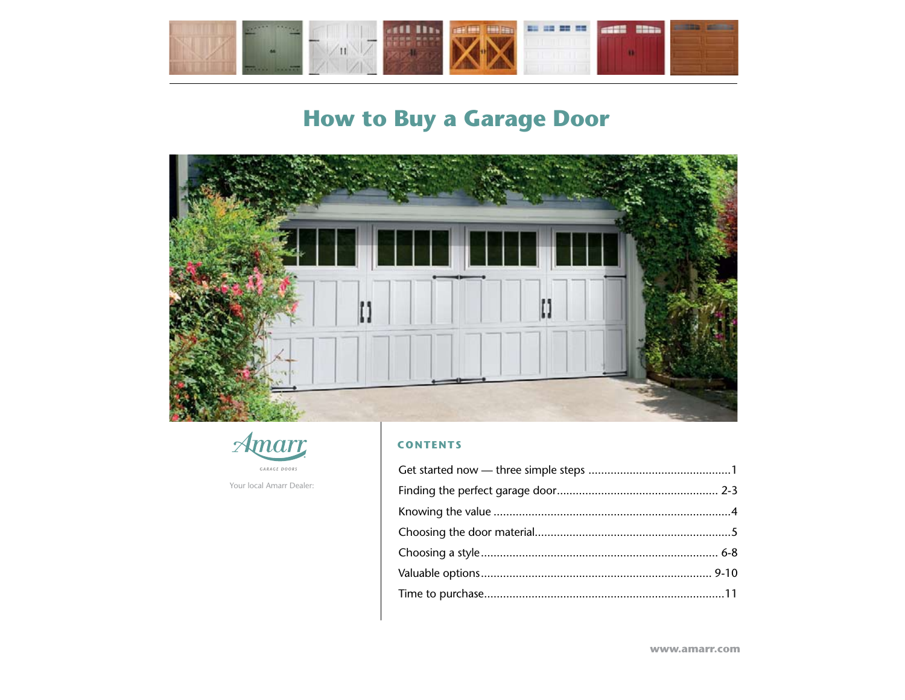<span id="page-0-0"></span>





Your local Amarr Dealer:

#### **CONTENTS**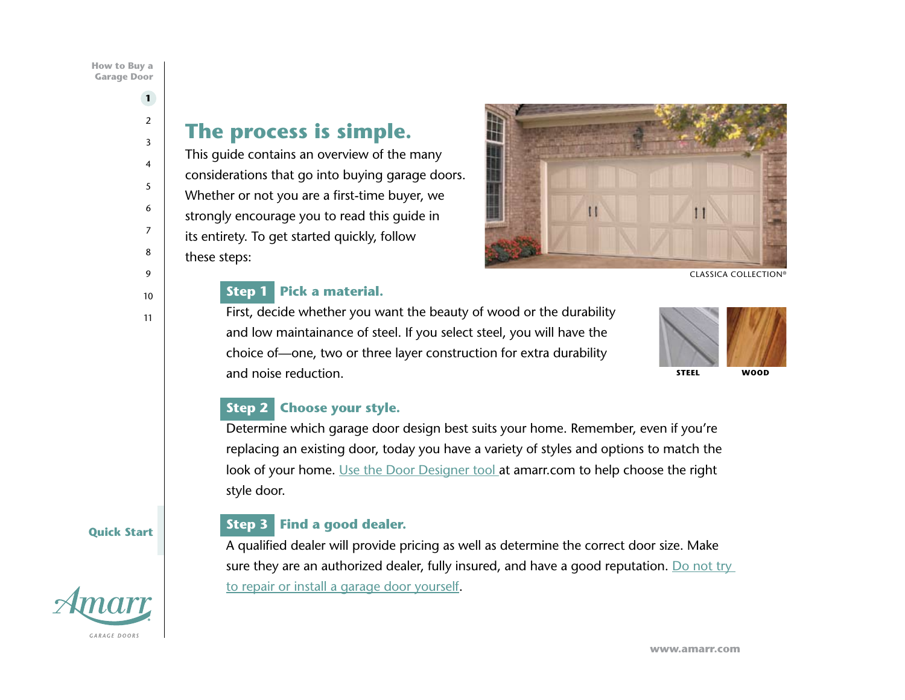# **The process is simple.**

This guide contains an overview of the many considerations that go into buying garage doors. Whether or not you are a first-time buyer, we strongly encourage you to read this guide in its entirety. To get started quickly, follow these steps:

## **Step 1 Pick a material.**

First, decide whether you want the beauty of wood or the durability and low maintainance of steel. If you select steel, you will have the choice of—one, two or three layer construction for extra durability and noise reduction.



## **Step 2 Choose your style.**

Determine which garage door design best suits your home. Remember, even if you're replacing an existing door, today you have a variety of styles and options to match the look of your home. [Use the Door Designer tool](http://amarrdoordesigner.com/door_designer.asp) at amarr.com to help choose the right style door.

## **Step 3 Find a good dealer.**

A qualified dealer will provide pricing as well as determine the correct door size. Make sure they are an authorized dealer, fully insured, and have a good reputation. Do not try [to repair or install a garage door yourself.](http://www.amarr.com/residential/service_and_support/garage_door_safety/)

<span id="page-1-0"></span>**1** [2](#page-2-0) [3](#page-3-0)

#### **Quick Start**



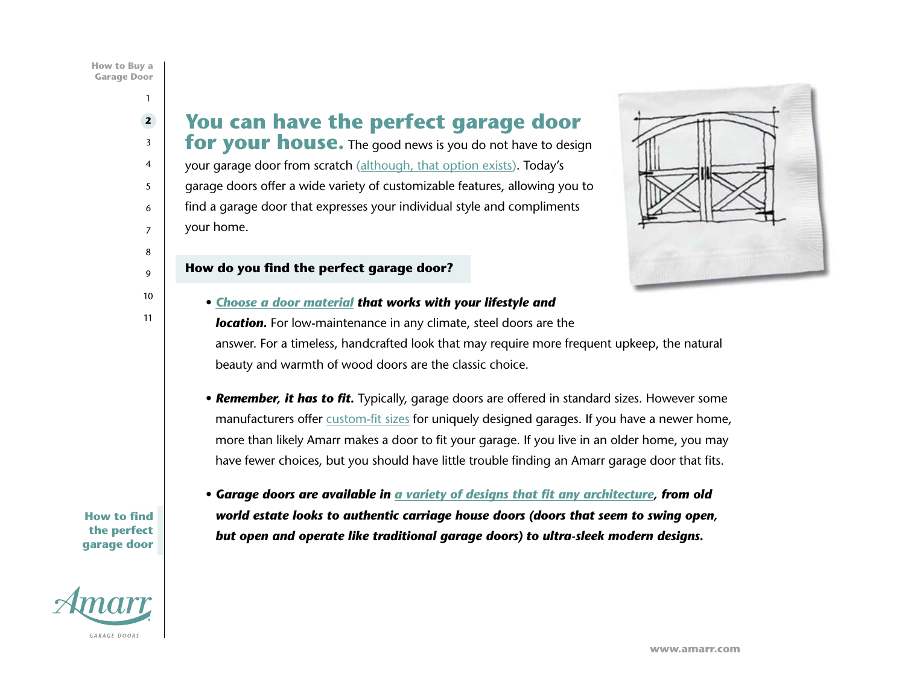## <span id="page-2-0"></span>**You can have the perfect garage door**

**for your house.** The good news is you do not have to design your garage door from scratch ([although, that option exists](http://www.amarr.com/residential/browse_material/wood/amarr_by_design.html)). Today's garage doors offer a wide variety of customizable features, allowing you to find a garage door that expresses your individual style and compliments your home.



#### **How do you find the perfect garage door?**

- *[Choose a door material](http://www.amarr.com/residential/browse_material.html) that works with your lifestyle and location.* For low-maintenance in any climate, steel doors are the answer. For a timeless, handcrafted look that may require more frequent upkeep, the natural beauty and warmth of wood doors are the classic choice.
	- *Remember, it has to fit.* Typically, garage doors are offered in standard sizes. However some manufacturers offer [custom-fit sizes](http://www.amarr.com/ask_amarr/about_garage_doors/faq_2.html#10) for uniquely designed garages. If you have a newer home, more than likely Amarr makes a door to fit your garage. If you live in an older home, you may have fewer choices, but you should have little trouble finding an Amarr garage door that fits.

**How to find the perfect garage door**



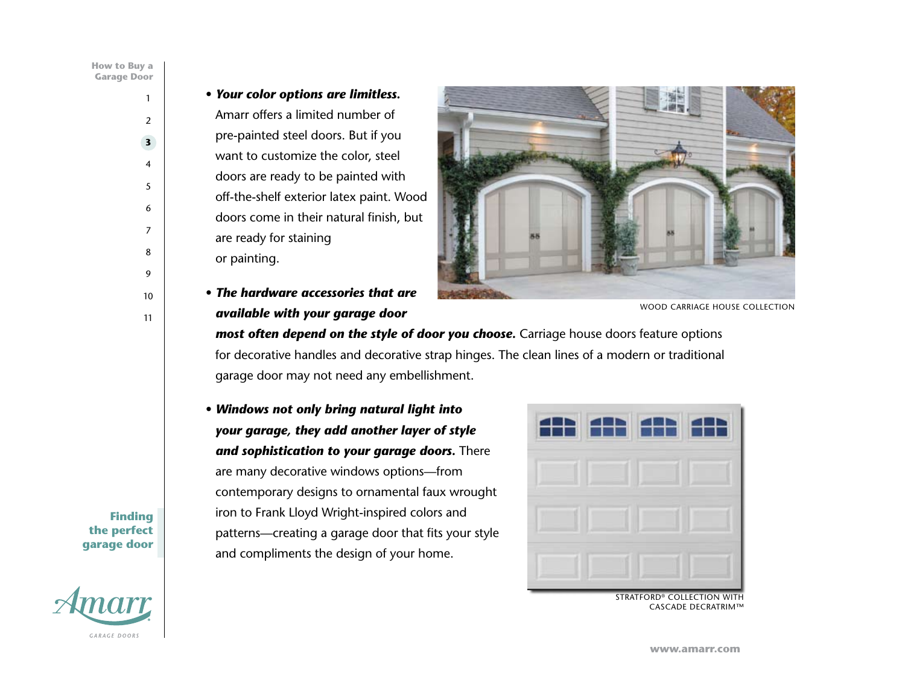#### <span id="page-3-0"></span>• *Your color options are limitless.*

Amarr offers a limited number of pre-painted steel doors. But if you want to customize the color, steel doors are ready to be painted with off-the-shelf exterior latex paint. Wood doors come in their natural finish, but are ready for staining or painting.

• *The hardware accessories that are available with your garage door* 



WOOD CARRIAGE HOUSE COLLECTION

*most often depend on the style of door you choose.* Carriage house doors feature options for decorative handles and decorative strap hinges. The clean lines of a modern or traditional garage door may not need any embellishment.

• *Windows not only bring natural light into your garage, they add another layer of style and sophistication to your garage doors.* There are many decorative windows options—from contemporary designs to ornamental faux wrought iron to Frank Lloyd Wright-inspired colors and patterns—creating a garage door that fits your style and compliments the design of your home.



STRATFORD® COLLECTION WITH CASCADE DECRATRIM™

**Finding the perfect garage door**

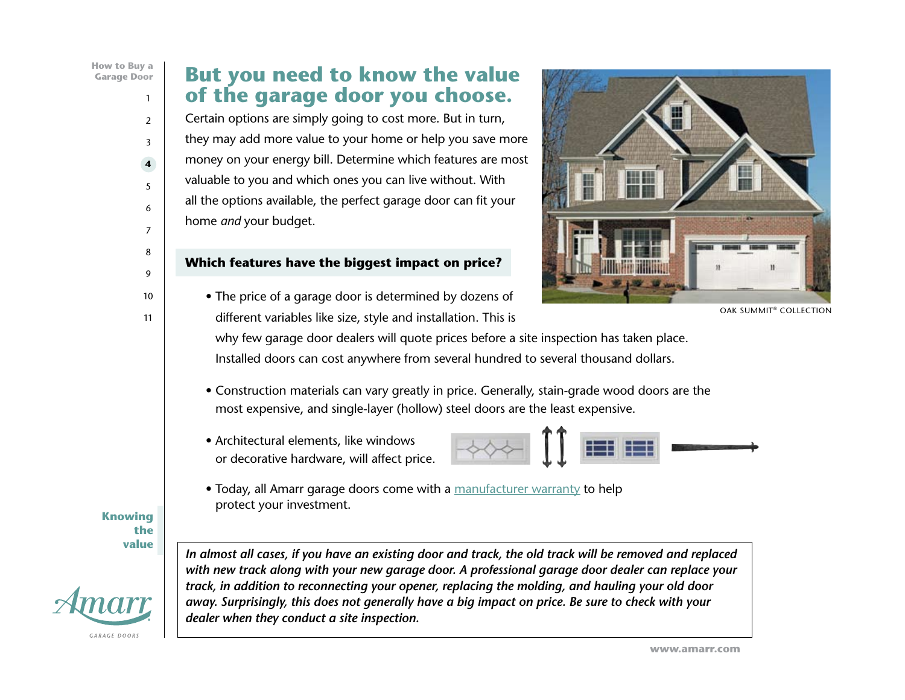## <span id="page-4-0"></span>**But you need to know the value of the garage door you choose.**

Certain options are simply going to cost more. But in turn, they may add more value to your home or help you save more money on your energy bill. Determine which features are most valuable to you and which ones you can live without. With all the options available, the perfect garage door can fit your home *and* your budget.

#### **Which features have the biggest impact on price?**

• The price of a garage door is determined by dozens of different variables like size, style and installation. This is



OAK SUMMIT® COLLECTION

why few garage door dealers will quote prices before a site inspection has taken place. Installed doors can cost anywhere from several hundred to several thousand dollars.

- Construction materials can vary greatly in price. Generally, stain-grade wood doors are the most expensive, and single-layer (hollow) steel doors are the least expensive.
- Architectural elements, like windows or decorative hardware, will affect price.



• Today, all Amarr garage doors come with a [manufacturer warranty](http://www.amarr.com/residential/service_and_support/warranty) to help protect your investment.

**Knowing the value**



*In almost all cases, if you have an existing door and track, the old track will be removed and replaced with new track along with your new garage door. A professional garage door dealer can replace your track, in addition to reconnecting your opener, replacing the molding, and hauling your old door away. Surprisingly, this does not generally have a big impact on price. Be sure to check with your dealer when they conduct a site inspection.*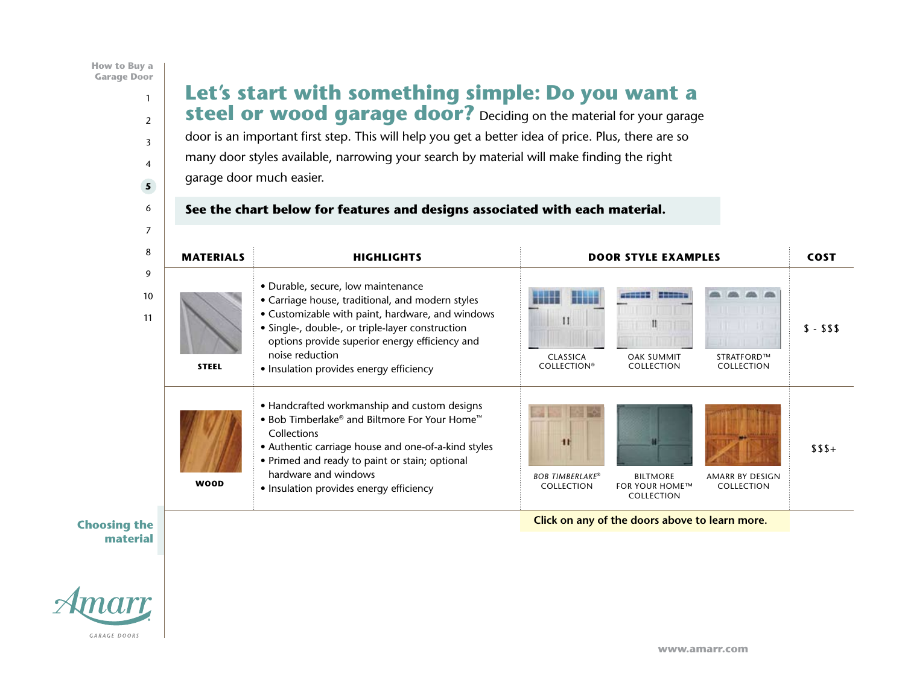#### <span id="page-5-0"></span>**Let's start with something simple: Do you want a steel or wood garage door?** Deciding on the material for your garage door is an important first step. This will help you get a better idea of price. Plus, there are so many door styles available, narrowing your search by material will make finding the right garage door much easier. **See the chart below for features and designs associated with each material.** *4 Carriage House Panel Designs 1 Carriage House Panel Design* **STEEL WOOD MATERIALS** • Customizable with paint, hardware, and windows **• Handcrafted workmanship and custom designs** • Handcrafted workmanship and custom designs *Stamped-Steel Design 38 Window Options Single-Layer: Steel Double-Layer: Steel + Insulation Triple-Layer: Steel + Insulation + Steel Single-Layer: Steel Double-Layer: Steel + Insulation Single-Layer: Steel* COLLECTION **Example 20 Service Controller Click on any of the doors above to learn more. CLASSICA COLLECTION COLLECTION® HERITAGE COLLECTION Openings in Steel in Steel in Steel in Steel in Steel in Steel in Steel in Steel in Steel in Steel in Steel**  $\bullet$  Authentic carriage house and one-of-a-kind styles extending to the Primed and ready to paint or stain; optional and the signature all the signature all the signature all the signature all the signature all the signature all the signature and ready to paint or stain; optio *1 Carriage House Panel Design 18 Window Options Stamped-Steel Design 3 Color Options 4 Traditional Panel Designs 38 Window Options 4 Color Options 38 Window Options Single-Layer: Steel Double-Layer: Steel + Insulation [Triple-Layer: Steel + Insulation + Steel](http://www.amarr.com/residential/browse_material/wood/amarr_by_design.html)* **COLLECTION STRA[TFORD COLLEC](http://www.amarr.com/residential/browse_material/wood/biltmore_estate.html)TION Openings in Steel.** Express your style in steel. Amarr makes it happen. exceptional performance and durability, and durability, and durability, and  $\overline{\phantom{a}}$ • Insulation provides energy efficiency get a striking look that stands the test of time. *4 Traditional Panel Designs 38 Window Options 4 Color Options 9 Designs Inspired by Biltmore Estate Architecture 4 Traditional Panel Designs 38 Window Options 6 Color Options Double-Layer: Steel + Insulation* \$ - \$\$\$ **HERITAGE COLLECTION STRATFORM HIGHLIGHTS** collections. From classic Carriage House designs to contemporary flush panels, • Durable, secure, low maintenance CLASSICA *Paint or Stain Grade Wood Choices* OAK SUMMIT *Paint or Stain Grade Wood Choices* STRATFORD™ *8 Styles Designed by Bob Timberlake* • Bob Timberlake® and Biltmore For Your Home™ **WOODER INSULATE:** Insulation provides energy efficiency Let the artistic expressions of Bob Timberlake and the inspired designs of **BILTMORE™** COLLECTION FOR YOUR HOME™ COLL *BOB TIMBERLAKE ®* **COLLECTION** *8 Styles Designed by Bob Timberlake [Energy Efficient Polystyrene Thermal Insulation](http://www.amarr.com/residential/browse_material/steel/classica.html) Commercial Steel Frame Western Red Cedar Exterior 9 [Designs Inspired by Biltmore Estate ArchitectureEnergy Efficient Polystyrene Thermal Insulation](http://www.amarr.com/residential/browse_material/wood/bob_timberlake.html) Commercial Steel Frame 4 Exterior Wood Options Paint or Stain Grade Wood Choices* **Openings Sculptured in Wood.** Warm, natural, beautiful. The choice is wood.  $\mathcal{G}(\mathcal{S})$ *BOB TIMBERLAKE ®* **COLLECTION [BILTMORE ESTA](http://www.amarr.com/residential/browse_material/steel/oak_summit.html)TE [® FOR YOUR HO](http://www.amarr.com/residential/browse_material/steel/stratford.html)ME COLLECTION** *Paint or Stain Grade Wood Choices* **HIGHLIGHTS DOOR STYLE EXAMPLES COST** *Energy Efficient Polystyrene Thermal Insulation Commercial Steel Frame 4 Exterior Wood Options Unlimited Custom Designs 10 Popular Standard Designs Energy Efficient Polystyrene Thermal Insulation Commercial Steel Frame 4 Exterior Wood Options Paint or Stain Grade Wood Choices* • Carriage house, traditional, and modern styles **in the choice is a state of the choice is a** • Single-, double-, or triple-layer construction options provide superior energy efficiency and  $\qquad \qquad \qquad \qquad$ **AMARR BY DESIGN COLLECTION** *BOB TIMBERLAKE*® COLLECTION **BILTMORE** AMARR BY DESIGN COLLECTION  $$S5+$ hardware and windows [1](#page-1-0) [2](#page-2-0) [3](#page-3-0) [4](#page-4-0) **5** [6](#page-6-0) [7](#page-7-0) [8](#page-8-0) [9](#page-9-0) [10](#page-10-0) [11](#page-11-0)

#### George Vanderbilt's Biltmore Estate give your home a distinct architectural focus.  $\mathsf{ial} \parallel$ **Choosing the material**

so your garage doors will have a signature all their own, yours.

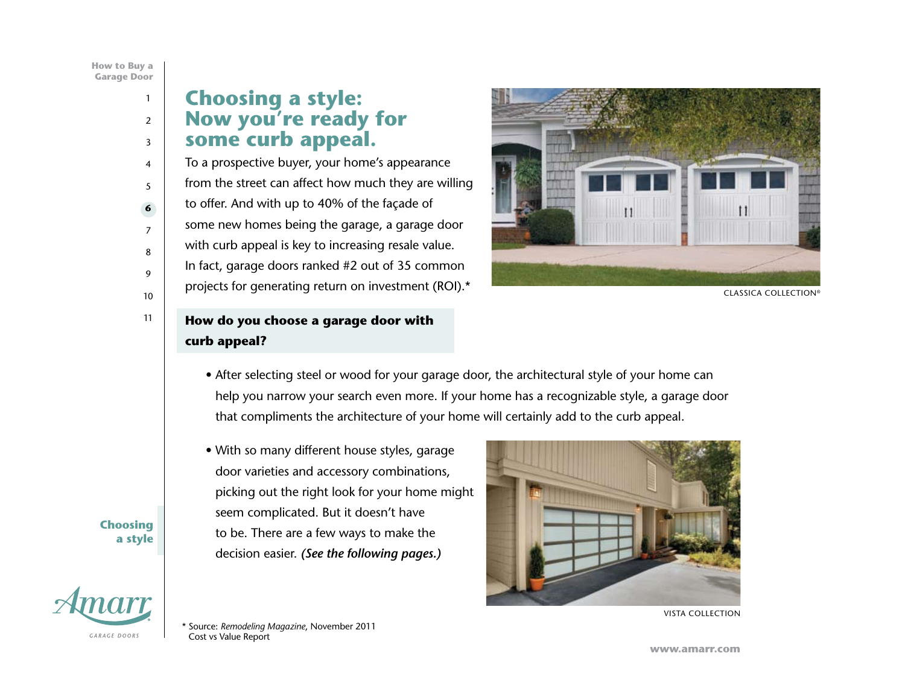# <span id="page-6-0"></span>**Choosing a style: Now you're ready for some curb appeal.**

To a prospective buyer, your home's appearance from the street can affect how much they are willing to offer. And with up to 40% of the façade of some new homes being the garage, a garage door with curb appeal is key to increasing resale value. In fact, garage doors ranked #2 out of 35 common projects for generating return on investment (ROI).\*



CLASSICA COLLECTION®

## **How do you choose a garage door with curb appeal?**

- After selecting steel or wood for your garage door, the architectural style of your home can help you narrow your search even more. If your home has a recognizable style, a garage door that compliments the architecture of your home will certainly add to the curb appeal.
- With so many different house styles, garage door varieties and accessory combinations, picking out the right look for your home might seem complicated. But it doesn't have to be. There are a few ways to make the decision easier. *(See the following pages.)*



VISTA COLLECTION

**Choosing a style**



\* Source: *Remodeling Magazine*, November 2011 Cost vs Value Report

**[www.amarr.com](http://www.amarr.com/)**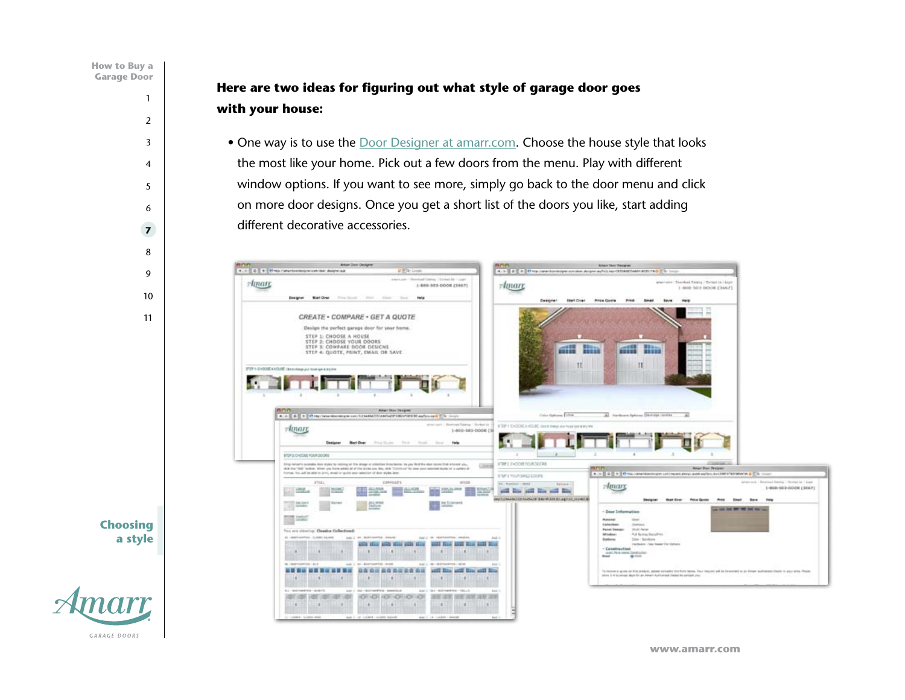<span id="page-7-0"></span>**Here are two ideas for figuring out what style of garage door goes with your house:**

• One way is to use the [Door Designer at amarr.com](http://amarrdoordesigner.com/door_designer.asp). Choose the house style that looks the most like your home. Pick out a few doors from the menu. Play with different window options. If you want to see more, simply go back to the door menu and click on more door designs. Once you get a short list of the doors you like, start adding different decorative accessories.



**a style**

**Choosing** 

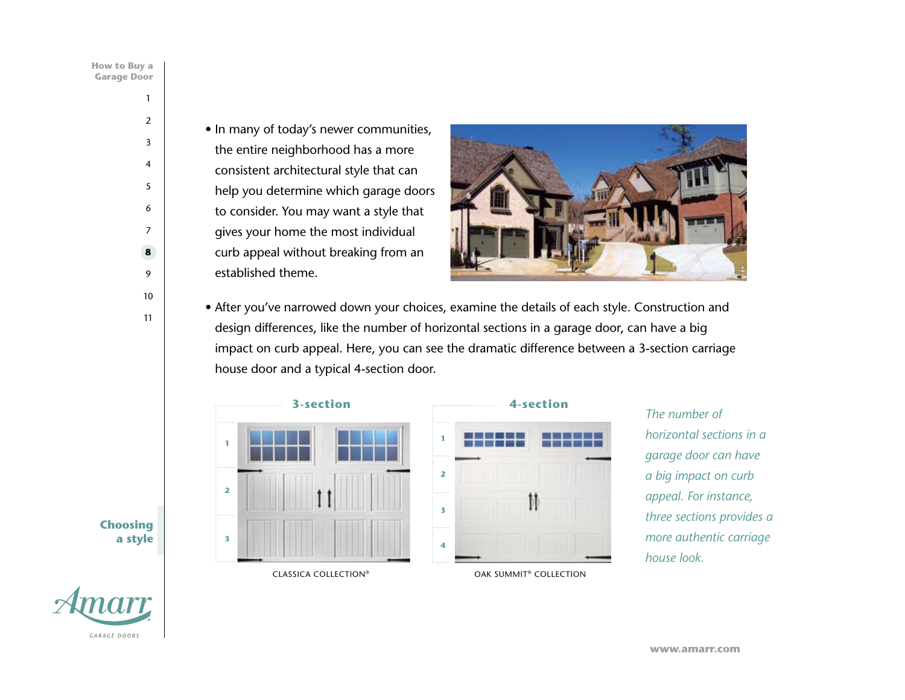<span id="page-8-0"></span>• In many of today's newer communities, the entire neighborhood has a more consistent architectural style that can help you determine which garage doors to consider. You may want a style that gives your home the most individual curb appeal without breaking from an established theme.



• After you've narrowed down your choices, examine the details of each style. Construction and design differences, like the number of horizontal sections in a garage door, can have a big impact on curb appeal. Here, you can see the dramatic difference between a 3-section carriage house door and a typical 4-section door.





*The number of horizontal sections in a garage door can have a big impact on curb appeal. For instance, three sections provides a more authentic carriage house look.*

**Choosing a style**

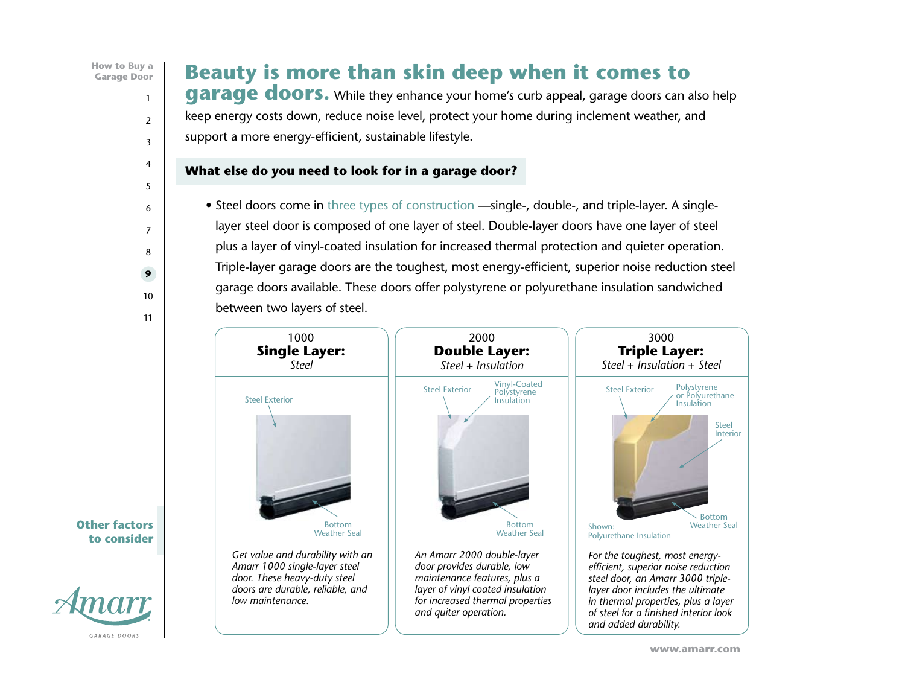# <span id="page-9-0"></span>**Beauty is more than skin deep when it comes to**

**garage doors.** While they enhance your home's curb appeal, garage doors can also help keep energy costs down, reduce noise level, protect your home during inclement weather, and support a more energy-efficient, sustainable lifestyle.

#### **What else do you need to look for in a garage door?**

• Steel doors come in [three types of](http://www.amarr.com/residential/before_you_buy/garage_door_construction/) construction —single-, double-, and triple-layer. A singlelayer steel door is composed of one layer of steel. Double-layer doors have one layer of steel plus a layer of vinyl-coated insulation for increased thermal protection and quieter operation. Triple-layer garage doors are the toughest, most energy-efficient, superior noise reduction steel garage doors available. These doors offer polystyrene or polyurethane insulation sandwiched between two layers of steel.



**Other factors to consider**

**GARAGE DOORS**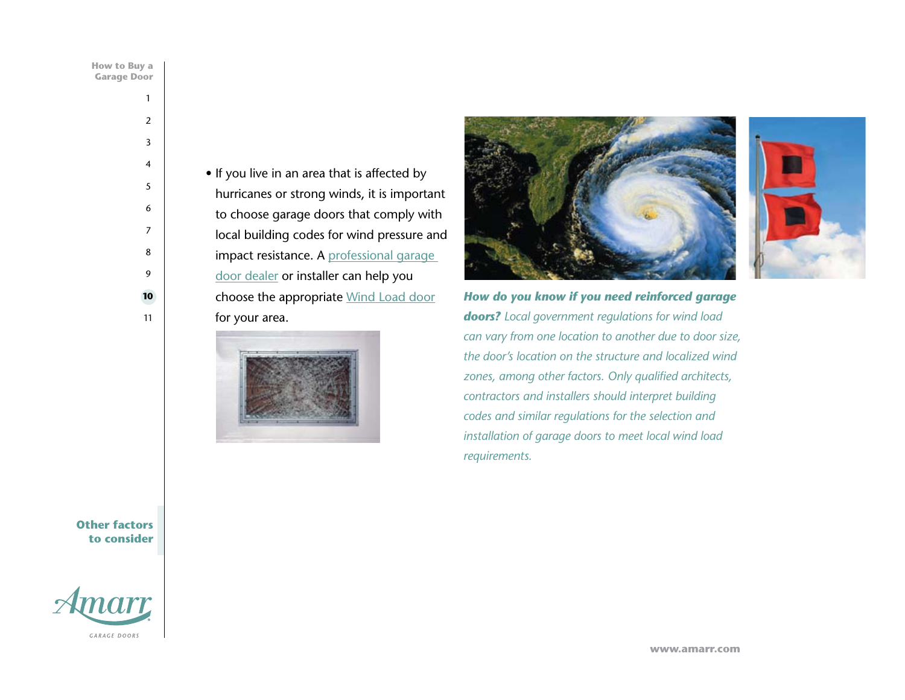<span id="page-10-0"></span>

| How to Buy |                 |  |
|------------|-----------------|--|
|            | arage Doc<br>ΛĦ |  |

• If you live in an area that is affected by hurricanes or strong winds, it is important to choose garage doors that comply with local building codes for wind pressure and impact resistance. A professional garage [door dealer](http://www.amarr.com/residential/find_a_dealer) or installer can help you choose the appropriate [Wind Load door](http://www.amarr.com/residential/before_you_buy/wind_load_garage_doors) for your area.







*How do you know if you need reinforced garage doors? Local government regulations for wind load can vary from one location to another due to door size, the door's location on the structure and localized wind zones, among other factors. Only qualified architects, contractors and installers should interpret building codes and similar regulations for the selection and installation of garage doors to meet local wind load requirements.*

**Other factors to consider**